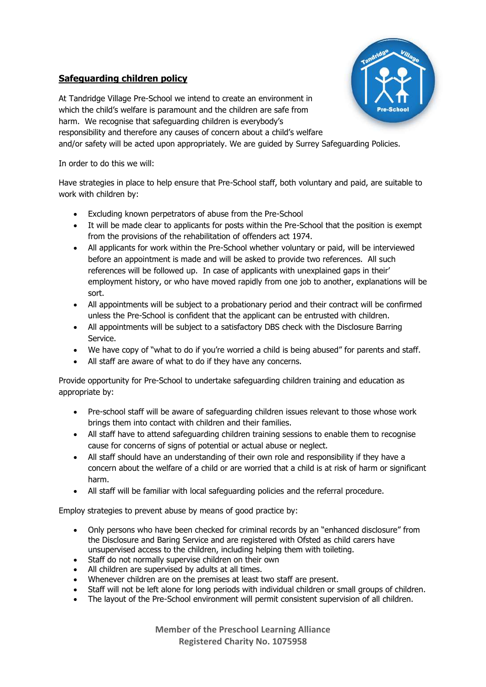## **Safeguarding children policy**



At Tandridge Village Pre-School we intend to create an environment in which the child's welfare is paramount and the children are safe from harm. We recognise that safeguarding children is everybody's responsibility and therefore any causes of concern about a child's welfare and/or safety will be acted upon appropriately. We are guided by Surrey Safeguarding Policies.

In order to do this we will:

Have strategies in place to help ensure that Pre-School staff, both voluntary and paid, are suitable to work with children by:

- Excluding known perpetrators of abuse from the Pre-School
- It will be made clear to applicants for posts within the Pre-School that the position is exempt from the provisions of the rehabilitation of offenders act 1974.
- All applicants for work within the Pre-School whether voluntary or paid, will be interviewed before an appointment is made and will be asked to provide two references. All such references will be followed up. In case of applicants with unexplained gaps in their' employment history, or who have moved rapidly from one job to another, explanations will be sort.
- All appointments will be subject to a probationary period and their contract will be confirmed unless the Pre-School is confident that the applicant can be entrusted with children.
- All appointments will be subject to a satisfactory DBS check with the Disclosure Barring Service.
- We have copy of "what to do if you're worried a child is being abused" for parents and staff.
- All staff are aware of what to do if they have any concerns.

Provide opportunity for Pre-School to undertake safeguarding children training and education as appropriate by:

- Pre-school staff will be aware of safeguarding children issues relevant to those whose work brings them into contact with children and their families.
- All staff have to attend safeguarding children training sessions to enable them to recognise cause for concerns of signs of potential or actual abuse or neglect.
- All staff should have an understanding of their own role and responsibility if they have a concern about the welfare of a child or are worried that a child is at risk of harm or significant harm.
- All staff will be familiar with local safeguarding policies and the referral procedure.

Employ strategies to prevent abuse by means of good practice by:

- Only persons who have been checked for criminal records by an "enhanced disclosure" from the Disclosure and Baring Service and are registered with Ofsted as child carers have unsupervised access to the children, including helping them with toileting.
- Staff do not normally supervise children on their own
- All children are supervised by adults at all times.
- Whenever children are on the premises at least two staff are present.
- Staff will not be left alone for long periods with individual children or small groups of children.
- The layout of the Pre-School environment will permit consistent supervision of all children.

**Member of the Preschool Learning Alliance Registered Charity No. 1075958**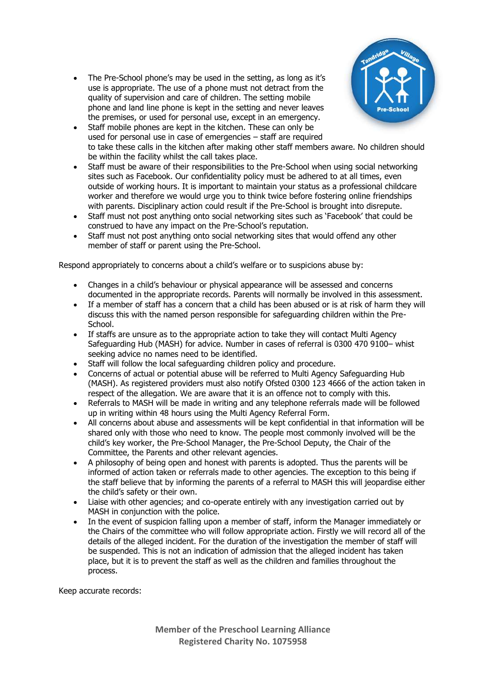• The Pre-School phone's may be used in the setting, as long as it's use is appropriate. The use of a phone must not detract from the quality of supervision and care of children. The setting mobile phone and land line phone is kept in the setting and never leaves the premises, or used for personal use, except in an emergency.



- Staff mobile phones are kept in the kitchen. These can only be used for personal use in case of emergencies – staff are required to take these calls in the kitchen after making other staff members aware. No children should be within the facility whilst the call takes place.
- Staff must be aware of their responsibilities to the Pre-School when using social networking sites such as Facebook. Our confidentiality policy must be adhered to at all times, even outside of working hours. It is important to maintain your status as a professional childcare worker and therefore we would urge you to think twice before fostering online friendships with parents. Disciplinary action could result if the Pre-School is brought into disrepute.
- Staff must not post anything onto social networking sites such as 'Facebook' that could be construed to have any impact on the Pre-School's reputation.
- Staff must not post anything onto social networking sites that would offend any other member of staff or parent using the Pre-School.

Respond appropriately to concerns about a child's welfare or to suspicions abuse by:

- Changes in a child's behaviour or physical appearance will be assessed and concerns documented in the appropriate records. Parents will normally be involved in this assessment.
- If a member of staff has a concern that a child has been abused or is at risk of harm they will discuss this with the named person responsible for safeguarding children within the Pre-School.
- If staffs are unsure as to the appropriate action to take they will contact Multi Agency Safeguarding Hub (MASH) for advice. Number in cases of referral is 0300 470 9100– whist seeking advice no names need to be identified.
- Staff will follow the local safeguarding children policy and procedure.
- Concerns of actual or potential abuse will be referred to Multi Agency Safeguarding Hub (MASH). As registered providers must also notify Ofsted 0300 123 4666 of the action taken in respect of the allegation. We are aware that it is an offence not to comply with this.
- Referrals to MASH will be made in writing and any telephone referrals made will be followed up in writing within 48 hours using the Multi Agency Referral Form.
- All concerns about abuse and assessments will be kept confidential in that information will be shared only with those who need to know. The people most commonly involved will be the child's key worker, the Pre-School Manager, the Pre-School Deputy, the Chair of the Committee, the Parents and other relevant agencies.
- A philosophy of being open and honest with parents is adopted. Thus the parents will be informed of action taken or referrals made to other agencies. The exception to this being if the staff believe that by informing the parents of a referral to MASH this will jeopardise either the child's safety or their own.
- Liaise with other agencies; and co-operate entirely with any investigation carried out by MASH in conjunction with the police.
- In the event of suspicion falling upon a member of staff, inform the Manager immediately or the Chairs of the committee who will follow appropriate action. Firstly we will record all of the details of the alleged incident. For the duration of the investigation the member of staff will be suspended. This is not an indication of admission that the alleged incident has taken place, but it is to prevent the staff as well as the children and families throughout the process.

Keep accurate records:

**Member of the Preschool Learning Alliance Registered Charity No. 1075958**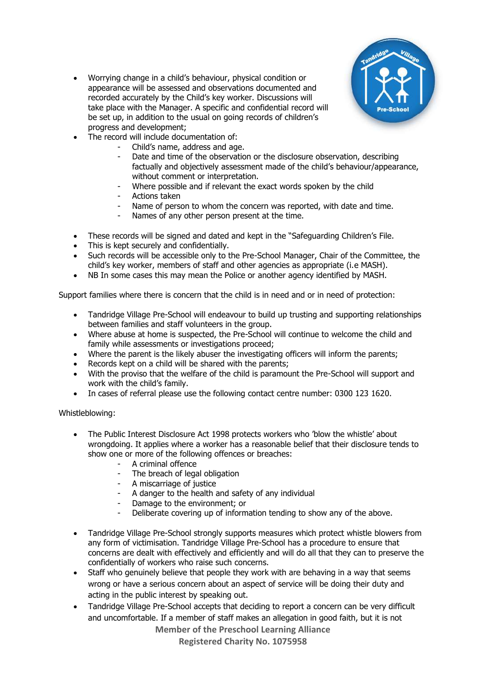

- Worrying change in a child's behaviour, physical condition or appearance will be assessed and observations documented and recorded accurately by the Child's key worker. Discussions will take place with the Manager. A specific and confidential record will be set up, in addition to the usual on going records of children's progress and development;
- The record will include documentation of:
	- Child's name, address and age.
	- Date and time of the observation or the disclosure observation, describing factually and objectively assessment made of the child's behaviour/appearance, without comment or interpretation.
	- Where possible and if relevant the exact words spoken by the child
	- Actions taken
	- Name of person to whom the concern was reported, with date and time.
	- Names of any other person present at the time.
- These records will be signed and dated and kept in the "Safeguarding Children's File.
- This is kept securely and confidentially.
- Such records will be accessible only to the Pre-School Manager, Chair of the Committee, the child's key worker, members of staff and other agencies as appropriate (i.e MASH).
- NB In some cases this may mean the Police or another agency identified by MASH.

Support families where there is concern that the child is in need and or in need of protection:

- Tandridge Village Pre-School will endeavour to build up trusting and supporting relationships between families and staff volunteers in the group.
- Where abuse at home is suspected, the Pre-School will continue to welcome the child and family while assessments or investigations proceed;
- Where the parent is the likely abuser the investigating officers will inform the parents;
- Records kept on a child will be shared with the parents;
- With the proviso that the welfare of the child is paramount the Pre-School will support and work with the child's family.
- In cases of referral please use the following contact centre number: 0300 123 1620.

Whistleblowing:

- The Public Interest Disclosure Act 1998 protects workers who 'blow the whistle' about wrongdoing. It applies where a worker has a reasonable belief that their disclosure tends to show one or more of the following offences or breaches:
	- A criminal offence
	- The breach of legal obligation
	- A miscarriage of justice
	- A danger to the health and safety of any individual
	- Damage to the environment; or
	- Deliberate covering up of information tending to show any of the above.
- Tandridge Village Pre-School strongly supports measures which protect whistle blowers from any form of victimisation. Tandridge Village Pre-School has a procedure to ensure that concerns are dealt with effectively and efficiently and will do all that they can to preserve the confidentially of workers who raise such concerns.
- Staff who genuinely believe that people they work with are behaving in a way that seems wrong or have a serious concern about an aspect of service will be doing their duty and acting in the public interest by speaking out.
- Tandridge Village Pre-School accepts that deciding to report a concern can be very difficult and uncomfortable. If a member of staff makes an allegation in good faith, but it is not

**Member of the Preschool Learning Alliance** 

**Registered Charity No. 1075958**